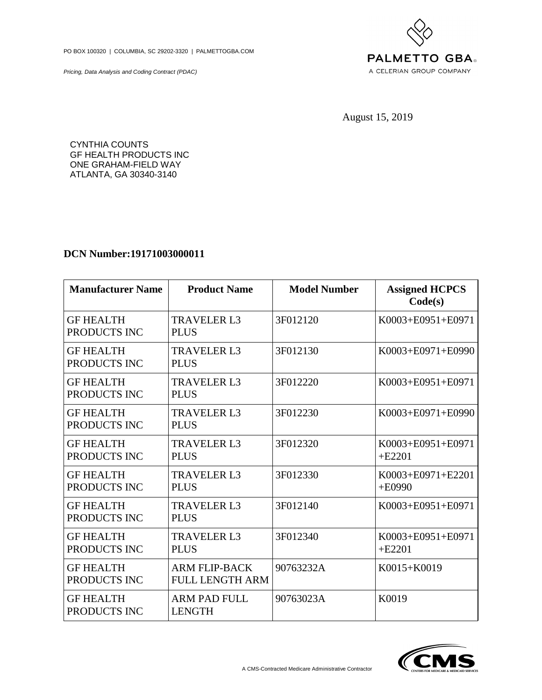PO BOX 100320 | COLUMBIA, SC 29202-3320 | PALMETTOGBA.COM

Pricing, Data Analysis and Coding Contract (PDAC)



August 15, 2019

CYNTHIA COUNTS GF HEALTH PRODUCTS INC ONE GRAHAM-FIELD WAY ATLANTA, GA 30340-3140

## **DCN Number:19171003000011**

| <b>Manufacturer Name</b>         | <b>Product Name</b>                            | <b>Model Number</b> | <b>Assigned HCPCS</b><br>Code(s) |
|----------------------------------|------------------------------------------------|---------------------|----------------------------------|
| <b>GF HEALTH</b><br>PRODUCTS INC | <b>TRAVELER L3</b><br><b>PLUS</b>              | 3F012120            | K0003+E0951+E0971                |
| <b>GF HEALTH</b><br>PRODUCTS INC | <b>TRAVELER L3</b><br><b>PLUS</b>              | 3F012130            | K0003+E0971+E0990                |
| <b>GF HEALTH</b><br>PRODUCTS INC | <b>TRAVELER L3</b><br><b>PLUS</b>              | 3F012220            | K0003+E0951+E0971                |
| <b>GF HEALTH</b><br>PRODUCTS INC | <b>TRAVELER L3</b><br><b>PLUS</b>              | 3F012230            | K0003+E0971+E0990                |
| <b>GF HEALTH</b><br>PRODUCTS INC | <b>TRAVELER L3</b><br><b>PLUS</b>              | 3F012320            | K0003+E0951+E0971<br>$+E2201$    |
| <b>GF HEALTH</b><br>PRODUCTS INC | <b>TRAVELER L3</b><br><b>PLUS</b>              | 3F012330            | K0003+E0971+E2201<br>$+E0990$    |
| <b>GF HEALTH</b><br>PRODUCTS INC | <b>TRAVELER L3</b><br><b>PLUS</b>              | 3F012140            | K0003+E0951+E0971                |
| <b>GF HEALTH</b><br>PRODUCTS INC | <b>TRAVELER L3</b><br><b>PLUS</b>              | 3F012340            | K0003+E0951+E0971<br>$+E2201$    |
| <b>GF HEALTH</b><br>PRODUCTS INC | <b>ARM FLIP-BACK</b><br><b>FULL LENGTH ARM</b> | 90763232A           | K0015+K0019                      |
| <b>GF HEALTH</b><br>PRODUCTS INC | <b>ARM PAD FULL</b><br><b>LENGTH</b>           | 90763023A           | K0019                            |

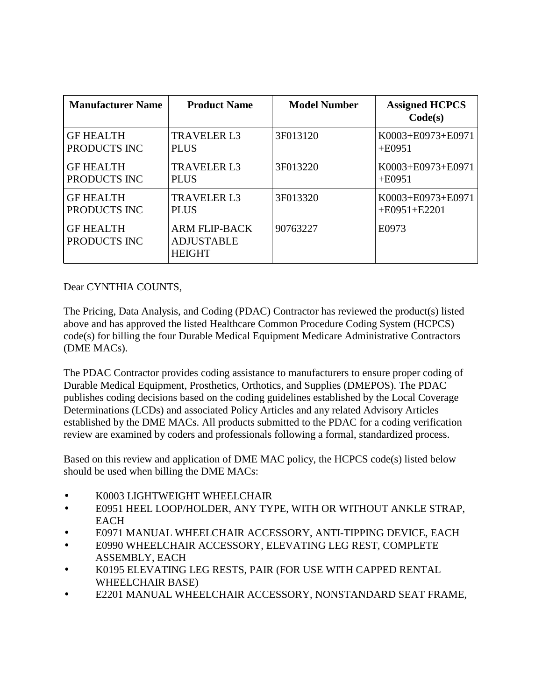| <b>Manufacturer Name</b>         | <b>Product Name</b>                                        | <b>Model Number</b> | <b>Assigned HCPCS</b><br>Code(s) |
|----------------------------------|------------------------------------------------------------|---------------------|----------------------------------|
| <b>GF HEALTH</b>                 | <b>TRAVELER L3</b>                                         | 3F013120            | K0003+E0973+E0971                |
| PRODUCTS INC                     | <b>PLUS</b>                                                |                     | $+E0951$                         |
| <b>GF HEALTH</b>                 | <b>TRAVELER L3</b>                                         | 3F013220            | K0003+E0973+E0971                |
| PRODUCTS INC                     | <b>PLUS</b>                                                |                     | $+E0951$                         |
| <b>GF HEALTH</b>                 | <b>TRAVELER L3</b>                                         | 3F013320            | K0003+E0973+E0971                |
| PRODUCTS INC                     | <b>PLUS</b>                                                |                     | $+E0951+E2201$                   |
| <b>GF HEALTH</b><br>PRODUCTS INC | <b>ARM FLIP-BACK</b><br><b>ADJUSTABLE</b><br><b>HEIGHT</b> | 90763227            | E0973                            |

## Dear CYNTHIA COUNTS,

The Pricing, Data Analysis, and Coding (PDAC) Contractor has reviewed the product(s) listed above and has approved the listed Healthcare Common Procedure Coding System (HCPCS) code(s) for billing the four Durable Medical Equipment Medicare Administrative Contractors (DME MACs).

The PDAC Contractor provides coding assistance to manufacturers to ensure proper coding of Durable Medical Equipment, Prosthetics, Orthotics, and Supplies (DMEPOS). The PDAC publishes coding decisions based on the coding guidelines established by the Local Coverage Determinations (LCDs) and associated Policy Articles and any related Advisory Articles established by the DME MACs. All products submitted to the PDAC for a coding verification review are examined by coders and professionals following a formal, standardized process.

Based on this review and application of DME MAC policy, the HCPCS code(s) listed below should be used when billing the DME MACs:

- K0003 LIGHTWEIGHT WHEELCHAIR
- E0951 HEEL LOOP/HOLDER, ANY TYPE, WITH OR WITHOUT ANKLE STRAP, **EACH**
- E0971 MANUAL WHEELCHAIR ACCESSORY, ANTI-TIPPING DEVICE, EACH
- E0990 WHEELCHAIR ACCESSORY, ELEVATING LEG REST, COMPLETE ASSEMBLY, EACH
- K0195 ELEVATING LEG RESTS, PAIR (FOR USE WITH CAPPED RENTAL WHEELCHAIR BASE)
- E2201 MANUAL WHEELCHAIR ACCESSORY, NONSTANDARD SEAT FRAME,